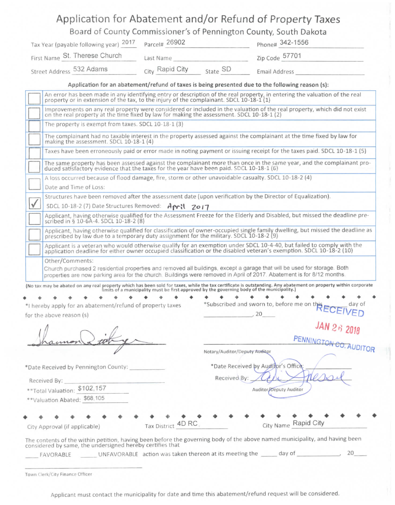|                                                                                                                                                                                                                                                    |                                                     |                               | Board of County Commissioner's of Pennington County, South Dakota |                                                                    |  |  |
|----------------------------------------------------------------------------------------------------------------------------------------------------------------------------------------------------------------------------------------------------|-----------------------------------------------------|-------------------------------|-------------------------------------------------------------------|--------------------------------------------------------------------|--|--|
| Tax Year (payable following year) 2017                                                                                                                                                                                                             | Parcel# 26902                                       |                               | Phone# 342-1556                                                   |                                                                    |  |  |
| First Name St. Therese Church                                                                                                                                                                                                                      |                                                     |                               |                                                                   |                                                                    |  |  |
| Street Address 532 Adams                                                                                                                                                                                                                           |                                                     |                               | City Rapid City State SD Email Address                            |                                                                    |  |  |
| Application for an abatement/refund of taxes is being presented due to the following reason (s):                                                                                                                                                   |                                                     |                               |                                                                   |                                                                    |  |  |
| An error has been made in any identifying entry or description of the real property, in entering the valuation of the real<br>property or in extension of the tax, to the injury of the complainant. SDCL 10-18-1 (1)                              |                                                     |                               |                                                                   |                                                                    |  |  |
| Improvements on any real property were considered or included in the valuation of the real property, which did not exist<br>on the real property at the time fixed by law for making the assessment. SDCL 10-18-1 (2)                              |                                                     |                               |                                                                   |                                                                    |  |  |
|                                                                                                                                                                                                                                                    | The property is exempt from taxes. SDCL 10-18-1 (3) |                               |                                                                   |                                                                    |  |  |
| The complainant had no taxable interest in the property assessed against the complainant at the time fixed by law for<br>making the assessment. SDCL 10-18-1 (4)                                                                                   |                                                     |                               |                                                                   |                                                                    |  |  |
| Taxes have been erroneously paid or error made in noting payment or issuing receipt for the taxes paid. SDCL 10-18-1 (5)                                                                                                                           |                                                     |                               |                                                                   |                                                                    |  |  |
|                                                                                                                                                                                                                                                    |                                                     |                               |                                                                   |                                                                    |  |  |
| The same property has been assessed against the complainant more than once in the same year, and the complainant pro-<br>duced satisfactory evidence that the taxes for the year have been paid. SDCL 10-18-1 (6)                                  |                                                     |                               |                                                                   |                                                                    |  |  |
| A loss occurred because of flood damage, fire, storm or other unavoidable casualty. SDCL 10-18-2 (4)                                                                                                                                               |                                                     |                               |                                                                   |                                                                    |  |  |
| Date and Time of Loss:                                                                                                                                                                                                                             |                                                     |                               |                                                                   |                                                                    |  |  |
| Structures have been removed after the assessment date (upon verification by the Director of Equalization).                                                                                                                                        |                                                     |                               |                                                                   |                                                                    |  |  |
| SDCL 10-18-2 (7) Date Structures Removed: April 2017                                                                                                                                                                                               |                                                     |                               |                                                                   |                                                                    |  |  |
| Applicant, having otherwise qualified for the Assessment Freeze for the Elderly and Disabled, but missed the deadline pre-<br>scribed in § 10-6A-4. SDCL 10-18-2 (8)                                                                               |                                                     |                               |                                                                   |                                                                    |  |  |
| Applicant, having otherwise qualified for classification of owner-occupied single family dwelling, but missed the deadline as<br>prescribed by law due to a temporary duty assignment for the military. SDCL 10-18-2 (9)                           |                                                     |                               |                                                                   |                                                                    |  |  |
| Applicant is a veteran who would otherwise qualify for an exemption under SDCL 10-4-40, but failed to comply with the<br>application deadline for either owner occupied classification or the disabled veteran's exemption. SDCL 10-18-2 (10)      |                                                     |                               |                                                                   |                                                                    |  |  |
| Other/Comments:                                                                                                                                                                                                                                    |                                                     |                               |                                                                   |                                                                    |  |  |
| Church purchased 2 residential properties and removed all buildings, except a garage that will be used for storage. Both<br>properties are now parking area for the church. Buildings were removed in April of 2017. Abatement is for 8/12 months. |                                                     |                               |                                                                   |                                                                    |  |  |
| (No tax may be abated on any real property which has been sold for taxes, while the tax certificate is outstanding. Any abatement on property within corporate limits of a municipality must be first approved by the governin                     |                                                     |                               |                                                                   |                                                                    |  |  |
|                                                                                                                                                                                                                                                    |                                                     |                               |                                                                   | .<br>*Subscribed and sworn to, before me on this ECEIVED<br>day of |  |  |
| *I hereby apply for an abatement/refund of property taxes                                                                                                                                                                                          |                                                     |                               |                                                                   |                                                                    |  |  |
| for the above reason (s)                                                                                                                                                                                                                           |                                                     |                               |                                                                   |                                                                    |  |  |
|                                                                                                                                                                                                                                                    |                                                     |                               |                                                                   | JAN 26 2018                                                        |  |  |
|                                                                                                                                                                                                                                                    |                                                     |                               |                                                                   | PENNINGTON CO. AUDITOR                                             |  |  |
|                                                                                                                                                                                                                                                    |                                                     | Notary/Auditor/Deputy Auditor |                                                                   |                                                                    |  |  |
|                                                                                                                                                                                                                                                    |                                                     |                               |                                                                   |                                                                    |  |  |
| *Date Received by Pennington County:                                                                                                                                                                                                               |                                                     |                               | *Date Received by Auditor's Office:                               |                                                                    |  |  |
| Received By:                                                                                                                                                                                                                                       |                                                     | Received By:                  |                                                                   |                                                                    |  |  |
| **Total Valuation: \$102,157                                                                                                                                                                                                                       |                                                     | Auditor/Deputy Auditor        |                                                                   |                                                                    |  |  |
| **Valuation Abated: \$68,105                                                                                                                                                                                                                       |                                                     |                               |                                                                   |                                                                    |  |  |
|                                                                                                                                                                                                                                                    | Tax District 4D RC                                  |                               | City Name Rapid City                                              |                                                                    |  |  |

FAVORABLE UNFAVORABLE action was taken thereon at its meeting the day of , 20

**Town Clerk/City Finance Officer**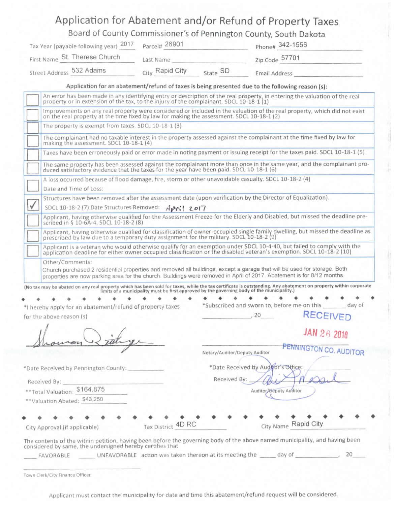## Application for Abatement and/or Refund of Property Taxes

Board of County Commissioner's of Pennington County, South Dakota

| Tax Year (payable following year) 2017 Parcel# 26901 | Last Name                   |  | Phone# 342-1556<br>Zip Code 57701 |  |
|------------------------------------------------------|-----------------------------|--|-----------------------------------|--|
| First Name St. Therese Church                        |                             |  |                                   |  |
| Street Address 532 Adams                             | City Rapid City<br>State SD |  | Email Address                     |  |

**Application for an abatement/refund of taxes is being presented due to the following reason (s):** 

|           | Other/Comments:<br>Church purchased 2 residential properties and removed all buildings, except a garage that will be used for storage. Both                                                                                                   |
|-----------|-----------------------------------------------------------------------------------------------------------------------------------------------------------------------------------------------------------------------------------------------|
|           | Applicant is a veteran who would otherwise qualify for an exemption under SDCL 10-4-40, but failed to comply with the<br>application deadline for either owner occupied classification or the disabled veteran's exemption. SDCL 10-18-2 (10) |
|           | Applicant, having otherwise qualified for classification of owner-occupied single family dwelling, but missed the deadline as<br>prescribed by law due to a temporary duty assignment for the military. SDCL 10-18-2 (9)                      |
|           | Applicant, having otherwise qualified for the Assessment Freeze for the Elderly and Disabled, but missed the deadline pre-<br>scribed in § 10-6A-4. SDCL 10-18-2 (8)                                                                          |
| $\sqrt{}$ | SDCL 10-18-2 (7) Date Structures Removed: April 2017                                                                                                                                                                                          |
|           | Structures have been removed after the assessment date (upon verification by the Director of Equalization).                                                                                                                                   |
|           | Date and Time of Loss:                                                                                                                                                                                                                        |
|           | A loss occurred because of flood damage, fire, storm or other unavoidable casualty. SDCL 10-18-2 (4)                                                                                                                                          |
|           | The same property has been assessed against the complainant more than once in the same year, and the complainant pro-<br>duced satisfactory evidence that the taxes for the year have been paid. SDCL 10-18-1 (6)                             |
|           | Taxes have been erroneously paid or error made in noting payment or issuing receipt for the taxes paid. SDCL 10-18-1 (5)                                                                                                                      |
|           | The complainant had no taxable interest in the property assessed against the complainant at the time fixed by law for<br>making the assessment. SDCL 10-18-1 (4)                                                                              |
|           | The property is exempt from taxes. SDCL 10-18-1 (3)                                                                                                                                                                                           |
|           | Improvements on any real property were considered or included in the valuation of the real property, which did not exist<br>on the real property at the time fixed by law for making the assessment. SDCL 10-18-1 (2)                         |
|           | An error has been made in any identifying entry or description of the real property, in entering the valuation of the real<br>property or in extension of the tax, to the injury of the complainant. SDCL 10-18-1 (1)                         |

**• ••••••••• •**  \*l hereby apply for an abatement/refund of property taxes for the above reason (s)

**• ••••••• •**  •Subscribed and sworn to, before me on this

day of , 20 **RECEIVE D** 

**• • • • •**  City Name Rapid City

**Notary/Auditor/Deputy Auditor** *P^^^^^QTQH* **CO. AUDITOR** 

**JAN** 28 **2019** 

**• • 4** 

•Date Received by Pennington County:

Received By:

••Total Valuation: \$164,875

••Valuation Abated: \$43,250

• •••• • City Approval (if applicable)

| $r = 116$              |  |
|------------------------|--|
| Auditor/Deputy Auditor |  |

aivad **Pur** 

\*Date Received by Auditor's Office

The contents of the within petition, having been before the governing body of the above named municipality, and having been considered by same, the undersigned hereby certifies that

\_ day of , 20 FAVORABLE UNFAVORABLE action was taken thereon at its meeting the

**• • • •** 

Tax District

**Town Clerk/City Finance Officer**